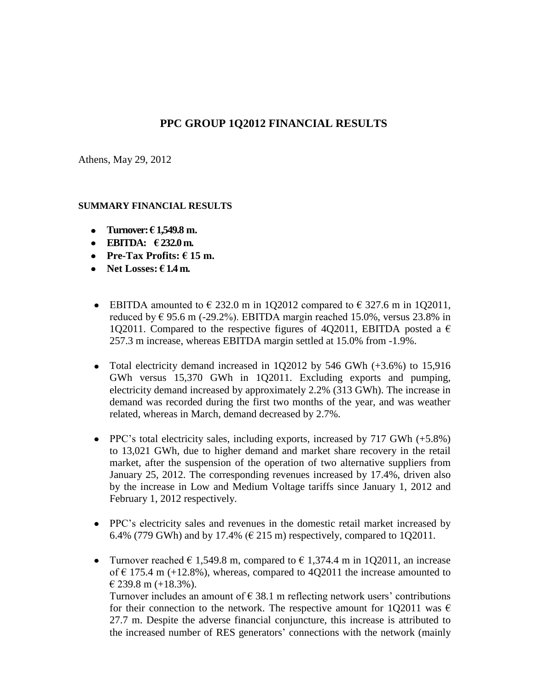## **PPC GROUP 1Q2012 FINANCIAL RESULTS**

Athens, May 29, 2012

#### **SUMMARY FINANCIAL RESULTS**

- **Turnover: € 1,549.8 m.**
- **EBITDA: € 232.0 m.**
- **Pre-Tax Profits:**  $f(15)$  **m.**
- Net Losses:  $\epsilon$  1.4 m.
- EBITDA amounted to  $\epsilon$  232.0 m in 1Q2012 compared to  $\epsilon$  327.6 m in 1Q2011, reduced by  $\epsilon$  95.6 m (-29.2%). EBITDA margin reached 15.0%, versus 23.8% in 1Q2011. Compared to the respective figures of 4Q2011, EBITDA posted a  $\epsilon$ 257.3 m increase, whereas EBITDA margin settled at 15.0% from -1.9%.
- Total electricity demand increased in 1Q2012 by 546 GWh (+3.6%) to 15,916 GWh versus 15,370 GWh in 1Q2011. Εxcluding exports and pumping, electricity demand increased by approximately 2.2% (313 GWh). The increase in demand was recorded during the first two months of the year, and was weather related, whereas in March, demand decreased by 2.7%.
- PPC's total electricity sales, including exports, increased by 717 GWh (+5.8%) to 13,021 GWh, due to higher demand and market share recovery in the retail market, after the suspension of the operation of two alternative suppliers from January 25, 2012. The corresponding revenues increased by 17.4%, driven also by the increase in Low and Medium Voltage tariffs since January 1, 2012 and February 1, 2012 respectively.
- PPC's electricity sales and revenues in the domestic retail market increased by 6.4% (779 GWh) and by 17.4% ( $\in$  215 m) respectively, compared to 1Q2011.
- Turnover reached  $\epsilon$  1,549.8 m, compared to  $\epsilon$  1,374.4 m in 1Q2011, an increase of  $\epsilon$  175.4 m (+12.8%), whereas, compared to 4Q2011 the increase amounted to  $\in$  239.8 m (+18.3%). Turnover includes an amount of  $\epsilon$  38.1 m reflecting network users' contributions for their connection to the network. The respective amount for 1Q2011 was  $\epsilon$

27.7 m. Despite the adverse financial conjuncture, this increase is attributed to the increased number of RES generators' connections with the network (mainly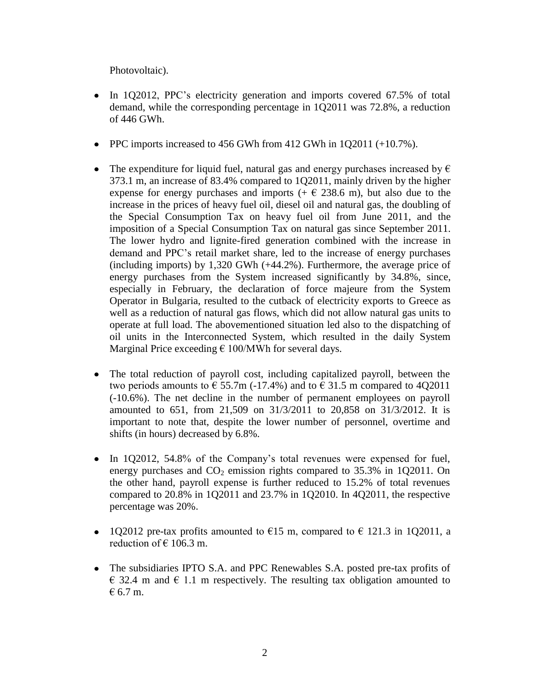Photovoltaic).

- In 1Q2012, PPC's electricity generation and imports covered 67.5% of total demand, while the corresponding percentage in 1Q2011 was 72.8%, a reduction of 446 GWh.
- PPC imports increased to 456 GWh from 412 GWh in 1Q2011 (+10.7%).
- The expenditure for liquid fuel, natural gas and energy purchases increased by  $\epsilon$ 373.1 m, an increase of 83.4% compared to 1Q2011, mainly driven by the higher expense for energy purchases and imports  $(+ \in 238.6 \text{ m})$ , but also due to the increase in the prices of heavy fuel oil, diesel oil and natural gas, the doubling of the Special Consumption Tax on heavy fuel oil from June 2011, and the imposition of a Special Consumption Tax on natural gas since September 2011. The lower hydro and lignite-fired generation combined with the increase in demand and PPC's retail market share, led to the increase of energy purchases (including imports) by 1,320 GWh (+44.2%). Furthermore, the average price of energy purchases from the System increased significantly by 34.8%, since, especially in February, the declaration of force majeure from the System Operator in Bulgaria, resulted to the cutback of electricity exports to Greece as well as a reduction of natural gas flows, which did not allow natural gas units to operate at full load. The abovementioned situation led also to the dispatching of oil units in the Interconnected System, which resulted in the daily System Marginal Price exceeding  $\epsilon$  100/MWh for several days.
- The total reduction of payroll cost, including capitalized payroll, between the two periods amounts to  $\epsilon$  55.7m (-17.4%) and to  $\epsilon$  31.5 m compared to 4Q2011 (-10.6%). Τhe net decline in the number of permanent employees on payroll amounted to 651, from 21,509 on 31/3/2011 to 20,858 on 31/3/2012. It is important to note that, despite the lower number of personnel, overtime and shifts (in hours) decreased by 6.8%.
- In 1Q2012, 54.8% of the Company's total revenues were expensed for fuel, energy purchases and  $CO<sub>2</sub>$  emission rights compared to 35.3% in 102011. On the other hand, payroll expense is further reduced to 15.2% of total revenues compared to 20.8% in 1Q2011 and 23.7% in 1Q2010. In 4Q2011, the respective percentage was 20%.
- 1Q2012 pre-tax profits amounted to  $\epsilon$ 15 m, compared to  $\epsilon$  121.3 in 1Q2011, a reduction of  $\in$  106.3 m.
- The subsidiaries IPTO S.A. and PPC Renewables S.A. posted pre-tax profits of  $\epsilon$  32.4 m and  $\epsilon$  1.1 m respectively. The resulting tax obligation amounted to € 6.7 m.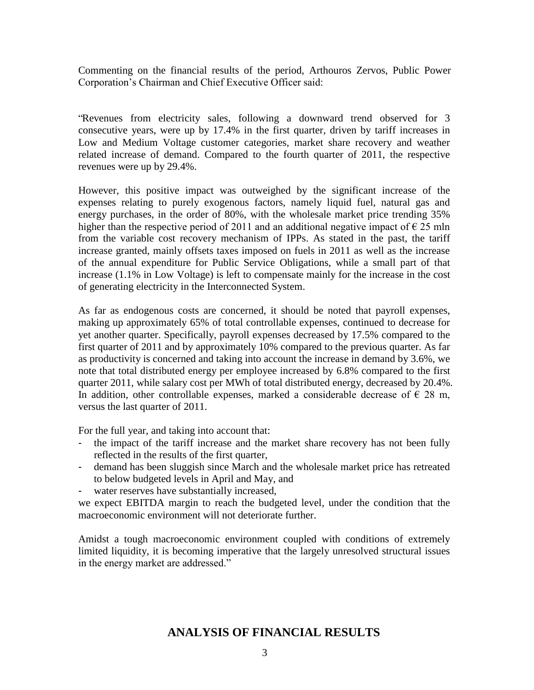Commenting on the financial results of the period, Arthouros Zervos, Public Power Corporation's Chairman and Chief Executive Officer said:

"Revenues from electricity sales, following a downward trend observed for 3 consecutive years, were up by 17.4% in the first quarter, driven by tariff increases in Low and Medium Voltage customer categories, market share recovery and weather related increase of demand. Compared to the fourth quarter of 2011, the respective revenues were up by 29.4%.

However, this positive impact was outweighed by the significant increase of the expenses relating to purely exogenous factors, namely liquid fuel, natural gas and energy purchases, in the order of 80%, with the wholesale market price trending 35% higher than the respective period of 2011 and an additional negative impact of  $\epsilon$  25 mln from the variable cost recovery mechanism of IPPs. As stated in the past, the tariff increase granted, mainly offsets taxes imposed on fuels in 2011 as well as the increase of the annual expenditure for Public Service Obligations, while a small part of that increase (1.1% in Low Voltage) is left to compensate mainly for the increase in the cost of generating electricity in the Interconnected System.

As far as endogenous costs are concerned, it should be noted that payroll expenses, making up approximately 65% of total controllable expenses, continued to decrease for yet another quarter. Specifically, payroll expenses decreased by 17.5% compared to the first quarter of 2011 and by approximately 10% compared to the previous quarter. As far as productivity is concerned and taking into account the increase in demand by 3.6%, we note that total distributed energy per employee increased by 6.8% compared to the first quarter 2011, while salary cost per MWh of total distributed energy, decreased by 20.4%. In addition, other controllable expenses, marked a considerable decrease of  $\epsilon$  28 m, versus the last quarter of 2011.

For the full year, and taking into account that:

- the impact of the tariff increase and the market share recovery has not been fully reflected in the results of the first quarter,
- demand has been sluggish since March and the wholesale market price has retreated to below budgeted levels in April and May, and
- water reserves have substantially increased,

we expect EBITDA margin to reach the budgeted level, under the condition that the macroeconomic environment will not deteriorate further.

Amidst a tough macroeconomic environment coupled with conditions of extremely limited liquidity, it is becoming imperative that the largely unresolved structural issues in the energy market are addressed."

# **ANALYSIS OF FINANCIAL RESULTS**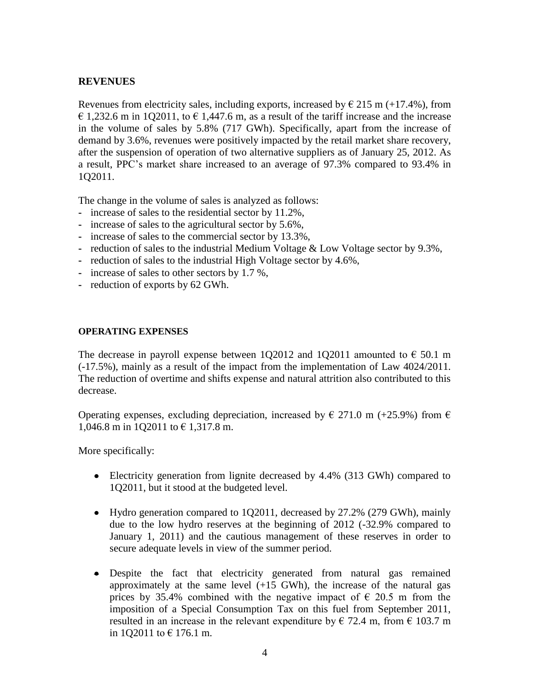## **REVENUES**

Revenues from electricity sales, including exports, increased by  $\epsilon$  215 m (+17.4%), from  $\epsilon$  1,232.6 m in 1O2011, to  $\epsilon$  1,447.6 m, as a result of the tariff increase and the increase in the volume of sales by 5.8% (717 GWh). Specifically, apart from the increase of demand by 3.6%, revenues were positively impacted by the retail market share recovery, after the suspension of operation of two alternative suppliers as of January 25, 2012. As a result, PPC's market share increased to an average of 97.3% compared to 93.4% in 1Q2011.

The change in the volume of sales is analyzed as follows:

- **-** increase of sales to the residential sector by 11.2%,
- **-** increase of sales to the agricultural sector by 5.6%,
- **-** increase of sales to the commercial sector by 13.3%,
- **-** reduction of sales to the industrial Medium Voltage & Low Voltage sector by 9.3%,
- **-** reduction of sales to the industrial High Voltage sector by 4.6%,
- **-** increase of sales to other sectors by 1.7 %,
- **-** reduction of exports by 62 GWh.

#### **OPERATING EXPENSES**

The decrease in payroll expense between 1Q2012 and 1Q2011 amounted to  $\epsilon$  50.1 m (-17.5%), mainly as a result of the impact from the implementation of Law 4024/2011. The reduction of overtime and shifts expense and natural attrition also contributed to this decrease.

Operating expenses, excluding depreciation, increased by  $\in$  271.0 m (+25.9%) from  $\in$ 1,046.8 m in 1Q2011 to € 1,317.8 m.

More specifically:

- Electricity generation from lignite decreased by 4.4% (313 GWh) compared to 1Q2011, but it stood at the budgeted level.
- Hydro generation compared to 102011, decreased by 27.2% (279 GWh), mainly due to the low hydro reserves at the beginning of 2012 (-32.9% compared to January 1, 2011) and the cautious management of these reserves in order to secure adequate levels in view of the summer period.
- Despite the fact that electricity generated from natural gas remained approximately at the same level  $(+15 \text{ GWh})$ , the increase of the natural gas prices by 35.4% combined with the negative impact of  $\epsilon$  20.5 m from the imposition of a Special Consumption Tax on this fuel from September 2011, resulted in an increase in the relevant expenditure by  $\epsilon$  72.4 m, from  $\epsilon$  103.7 m in 1Q2011 to € 176.1 m.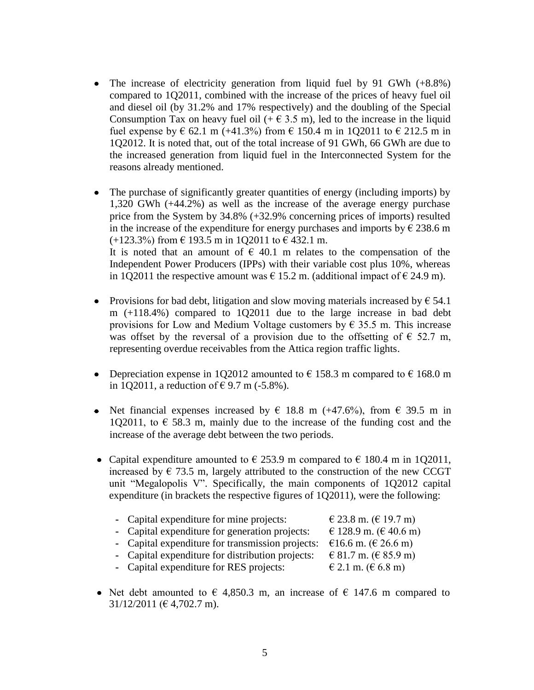- The increase of electricity generation from liquid fuel by 91 GWh (+8.8%) compared to 1Q2011, combined with the increase of the prices of heavy fuel oil and diesel oil (by 31.2% and 17% respectively) and the doubling of the Special Consumption Tax on heavy fuel oil  $(+ \in 3.5 \text{ m})$ , led to the increase in the liquid fuel expense by  $\epsilon$  62.1 m (+41.3%) from  $\epsilon$  150.4 m in 1Q2011 to  $\epsilon$  212.5 m in 1Q2012. It is noted that, out of the total increase of 91 GWh, 66 GWh are due to the increased generation from liquid fuel in the Interconnected System for the reasons already mentioned.
- The purchase of significantly greater quantities of energy (including imports) by 1,320 GWh (+44.2%) as well as the increase of the average energy purchase price from the System by 34.8% (+32.9% concerning prices of imports) resulted in the increase of the expenditure for energy purchases and imports by  $\epsilon$  238.6 m  $(+123.3\%)$  from  $\in$  193.5 m in 1Q2011 to  $\in$  432.1 m. It is noted that an amount of  $\epsilon$  40.1 m relates to the compensation of the Independent Power Producers (IPPs) with their variable cost plus 10%, whereas in 1Q2011 the respective amount was  $\epsilon$  15.2 m. (additional impact of  $\epsilon$  24.9 m).
- Provisions for bad debt, litigation and slow moving materials increased by  $\epsilon$  54.1 m (+118.4%) compared to 1Q2011 due to the large increase in bad debt provisions for Low and Medium Voltage customers by  $\epsilon$  35.5 m. This increase was offset by the reversal of a provision due to the offsetting of  $\epsilon$  52.7 m, representing overdue receivables from the Attica region traffic lights.
- Depreciation expense in 1Q2012 amounted to  $\epsilon$  158.3 m compared to  $\epsilon$  168.0 m in 1Q2011, a reduction of €9.7 m (-5.8%).
- Net financial expenses increased by  $\epsilon$  18.8 m (+47.6%), from  $\epsilon$  39.5 m in 1Q2011, to  $\epsilon$  58.3 m, mainly due to the increase of the funding cost and the increase of the average debt between the two periods.
- Capital expenditure amounted to  $\epsilon$  253.9 m compared to  $\epsilon$  180.4 m in 1Q2011, increased by  $\epsilon$  73.5 m, largely attributed to the construction of the new CCGT unit "Megalopolis V". Specifically, the main components of 1Q2012 capital expenditure (in brackets the respective figures of 1Q2011), were the following:

| - Capital expenditure for mine projects:<br>- Capital expenditure for generation projects:<br>- Capital expenditure for transmission projects:<br>- Capital expenditure for distribution projects: | € 23.8 m. (€ 19.7 m)<br>€ 128.9 m. (€ 40.6 m)<br>€16.6 m. (€ 26.6 m)<br>€ 81.7 m. (€ 85.9 m) |
|----------------------------------------------------------------------------------------------------------------------------------------------------------------------------------------------------|----------------------------------------------------------------------------------------------|
| - Capital expenditure for RES projects:                                                                                                                                                            | € 2.1 m. (€ 6.8 m)                                                                           |
|                                                                                                                                                                                                    |                                                                                              |

• Net debt amounted to  $\epsilon$  4,850.3 m, an increase of  $\epsilon$  147.6 m compared to  $31/12/2011$  ( $\in$  4,702.7 m).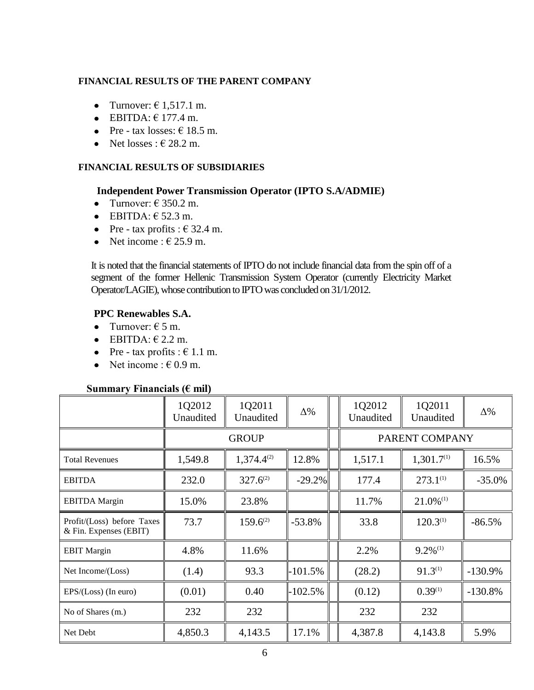## **FINANCIAL RESULTS OF THE PARENT COMPANY**

- Turnover:  $\in$  1.517.1 m.
- $\bullet$  EBITDA:  $\epsilon$  177.4 m.
- Pre tax losses:  $\epsilon$  18.5 m.
- Net losses :  $\epsilon$  28.2 m.

## **FINANCIAL RESULTS OF SUBSIDIARIES**

## **Independent Power Transmission Operator (IPTO S.A/ADMIE)**

- Turnover:  $\in$  350.2 m.
- $\bullet$  EBITDA:  $\epsilon$  52.3 m.
- Pre tax profits :  $\in$  32.4 m.
- Net income :  $\epsilon$  25.9 m.

It is noted that the financial statements of IPTO do not include financial data from the spin off of a segment of the former Hellenic Transmission System Operator (currently Electricity Market Operator/LAGIE), whose contribution to IPTO was concluded on 31/1/2012.

## **PPC Renewables S.A.**

- Turnover:  $6.5$  m.
- $\bullet$  EBITDA:  $\in$  2.2 m.
- Pre tax profits :  $\epsilon$  1.1 m.
- Net income :  $\epsilon$  0.9 m.

#### **Summary Financials (€ mil)**

|                                                      | 1Q2012<br>Unaudited | 1Q2011<br>Unaudited | $\Delta\%$         |  | 1Q2012<br>Unaudited | 1Q2011<br>Unaudited     | $\Delta\%$ |  |
|------------------------------------------------------|---------------------|---------------------|--------------------|--|---------------------|-------------------------|------------|--|
|                                                      |                     | <b>GROUP</b>        |                    |  | PARENT COMPANY      |                         |            |  |
| <b>Total Revenues</b>                                | 1,549.8             | $1,374.4^{(2)}$     | 12.8%              |  | 1,517.1             | 1,301.7 <sup>(1)</sup>  |            |  |
| <b>EBITDA</b>                                        | 232.0               | $327.6^{(2)}$       | $-29.2\%$<br>177.4 |  | $273.1^{(1)}$       | $-35.0%$                |            |  |
| <b>EBITDA</b> Margin                                 | 15.0%               | 23.8%               |                    |  | 11.7%               | $21.0\%$ <sup>(1)</sup> |            |  |
| Profit/(Loss) before Taxes<br>& Fin. Expenses (EBIT) | 73.7                | $159.6^{(2)}$       | $-53.8%$           |  | 33.8                | $120.3^{(1)}$           | $-86.5%$   |  |
| <b>EBIT</b> Margin                                   | 4.8%                | 11.6%               |                    |  | 2.2%                | $9.2\%$ <sup>(1)</sup>  |            |  |
| Net Income/(Loss)                                    | (1.4)               | 93.3                | -101.5%            |  | (28.2)              | $91.3^{(1)}$            | $-130.9%$  |  |
| $EPS/(Loss)$ (In euro)                               | (0.01)              | 0.40                | -102.5%            |  | (0.12)              | $0.39^{(1)}$            | $-130.8%$  |  |
| No of Shares (m.)                                    | 232                 | 232                 |                    |  | 232                 | 232                     |            |  |
| Net Debt                                             | 4,850.3             | 4,143.5             | 17.1%              |  | 4,387.8             | 4,143.8                 | 5.9%       |  |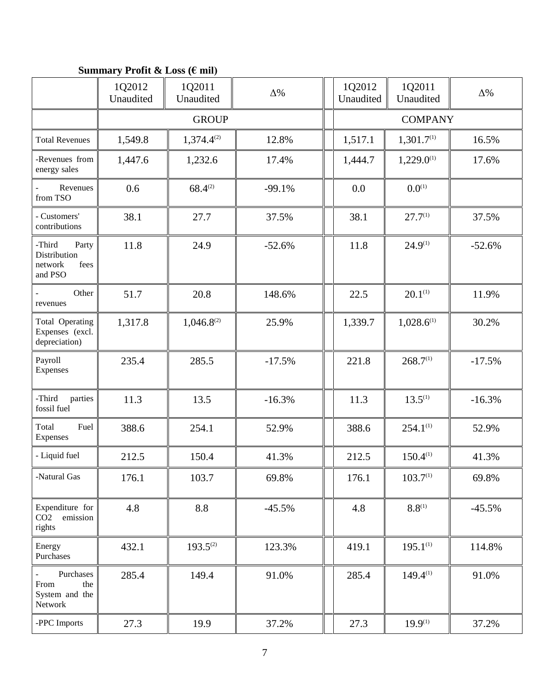# **Summary Profit & Loss (€ mil)**

|                                                               | 1Q2012<br>Unaudited | 1Q2011<br>Unaudited | $\Delta\%$ | 1Q2012<br>Unaudited | 1Q2011<br>Unaudited    | $\Delta\%$ |
|---------------------------------------------------------------|---------------------|---------------------|------------|---------------------|------------------------|------------|
|                                                               |                     | <b>GROUP</b>        |            |                     | <b>COMPANY</b>         |            |
| <b>Total Revenues</b>                                         | 1,549.8             | $1,374.4^{(2)}$     | 12.8%      | 1,517.1             | 1,301.7 <sup>(1)</sup> | 16.5%      |
| -Revenues from<br>energy sales                                | 1,447.6             | 1,232.6             | 17.4%      | 1,444.7             | $1,229.0^{(1)}$        | 17.6%      |
| Revenues<br>from TSO                                          | 0.6                 | $68.4^{(2)}$        | $-99.1%$   | 0.0                 | $0.0^{(1)}$            |            |
| - Customers'<br>contributions                                 | 38.1                | 27.7                | 37.5%      | 38.1                | $27.7^{(1)}$           | 37.5%      |
| -Third<br>Party<br>Distribution<br>network<br>fees<br>and PSO | 11.8                | 24.9                | $-52.6%$   | 11.8                | $24.9^{(1)}$           | $-52.6%$   |
| Other<br>revenues                                             | 51.7                | 20.8                | 148.6%     | 22.5                | $20.1^{(1)}$           | 11.9%      |
| Total Operating<br>Expenses (excl.<br>depreciation)           | 1,317.8             | $1,046.8^{(2)}$     | 25.9%      | 1,339.7             | $1,028.6^{(1)}$        | 30.2%      |
| Payroll<br>Expenses                                           | 235.4               | 285.5               | $-17.5%$   | 221.8               | 268.7 <sup>(1)</sup>   | $-17.5%$   |
| -Third<br>parties<br>fossil fuel                              | 11.3                | 13.5                | $-16.3%$   | 11.3                | $13.5^{(1)}$           | $-16.3%$   |
| Total<br>Fuel<br>Expenses                                     | 388.6               | 254.1               | 52.9%      | 388.6               | $254.1^{(1)}$          | 52.9%      |
| - Liquid fuel                                                 | 212.5               | 150.4               | 41.3%      | 212.5               | $150.4^{(1)}$          | 41.3%      |
| -Natural Gas                                                  | 176.1               | 103.7               | 69.8%      | 176.1               | 103.7 <sup>(1)</sup>   | 69.8%      |
| Expenditure for<br>CO <sub>2</sub><br>emission<br>rights      | 4.8                 | 8.8                 | $-45.5%$   | 4.8                 | $8.8^{(1)}$            | $-45.5%$   |
| Energy<br>Purchases                                           | 432.1               | $193.5^{(2)}$       | 123.3%     | 419.1               | $195.1^{(1)}$          | 114.8%     |
| Purchases<br>From<br>the<br>System and the<br>Network         | 285.4               | 149.4               | 91.0%      | 285.4               | $149.4^{(1)}$          | 91.0%      |
| -PPC Imports                                                  | 27.3                | 19.9                | 37.2%      | 27.3                | $19.9^{(1)}$           | 37.2%      |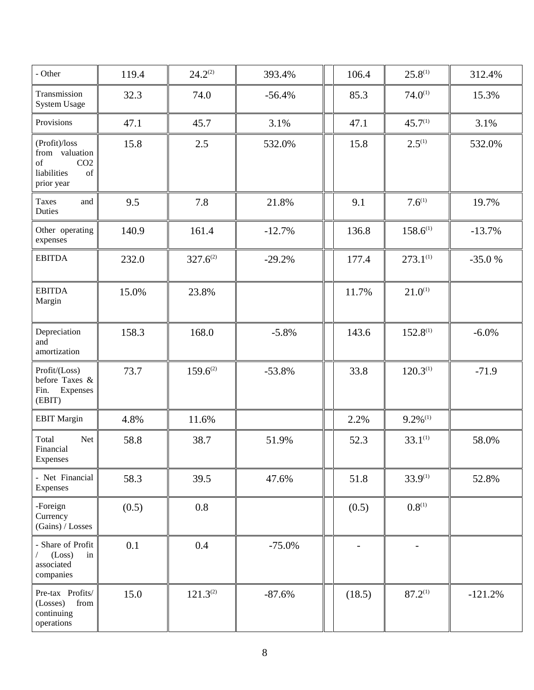| - Other                                                                                                                                                                                     | 119.4 | $24.2^{{(2)}}$ | 393.4%   | 106.4  | $25.8^{(1)}$           | 312.4%    |
|---------------------------------------------------------------------------------------------------------------------------------------------------------------------------------------------|-------|----------------|----------|--------|------------------------|-----------|
| Transmission<br><b>System Usage</b>                                                                                                                                                         | 32.3  | 74.0           | $-56.4%$ | 85.3   | $74.0^{(1)}$           | 15.3%     |
| Provisions                                                                                                                                                                                  | 47.1  | 45.7           | 3.1%     | 47.1   | $45.7^{(1)}$           | 3.1%      |
| (Profit)/loss<br>from valuation<br>CO <sub>2</sub><br>of<br>liabilities<br>$% \left( \left( \mathcal{A},\mathcal{A}\right) \right) =\left( \mathcal{A},\mathcal{A}\right)$ of<br>prior year | 15.8  | 2.5            | 532.0%   | 15.8   | $2.5^{(1)}$            | 532.0%    |
| <b>Taxes</b><br>and<br>Duties                                                                                                                                                               | 9.5   | 7.8            | 21.8%    | 9.1    | $7.6^{(1)}$            | 19.7%     |
| Other operating<br>expenses                                                                                                                                                                 | 140.9 | 161.4          | $-12.7%$ | 136.8  | $158.6^{(1)}$          | $-13.7%$  |
| <b>EBITDA</b>                                                                                                                                                                               | 232.0 | $327.6^{(2)}$  | $-29.2%$ | 177.4  | $273.1^{(1)}$          | $-35.0%$  |
| <b>EBITDA</b><br>Margin                                                                                                                                                                     | 15.0% | 23.8%          |          | 11.7%  | $21.0^{(1)}$           |           |
| Depreciation<br>and<br>amortization                                                                                                                                                         | 158.3 | 168.0          | $-5.8%$  | 143.6  | $152.8^{(1)}$          | $-6.0\%$  |
| Profit/(Loss)<br>before Taxes &<br>Fin.<br>Expenses<br>(EBIT)                                                                                                                               | 73.7  | $159.6^{(2)}$  | $-53.8%$ | 33.8   | $120.3^{(1)}$          | $-71.9$   |
| <b>EBIT Margin</b>                                                                                                                                                                          | 4.8%  | 11.6%          |          | 2.2%   | $9.2\%$ <sup>(1)</sup> |           |
| Total<br>Net<br>Financial<br>Expenses                                                                                                                                                       | 58.8  | 38.7           | 51.9%    | 52.3   | $33.1^{(1)}$           | 58.0%     |
| - Net Financial<br>Expenses                                                                                                                                                                 | 58.3  | 39.5           | 47.6%    | 51.8   | $33.9^{(1)}$           | 52.8%     |
| -Foreign<br>Currency<br>(Gains) / Losses                                                                                                                                                    | (0.5) | 0.8            |          | (0.5)  | $0.8^{(1)}$            |           |
| - Share of Profit<br>(Loss)<br>in<br>associated<br>companies                                                                                                                                | 0.1   | 0.4            | $-75.0%$ |        |                        |           |
| Pre-tax Profits/<br>(Losses)<br>${\rm from}$<br>continuing<br>operations                                                                                                                    | 15.0  | $121.3^{(2)}$  | $-87.6%$ | (18.5) | $87.2^{(1)}$           | $-121.2%$ |